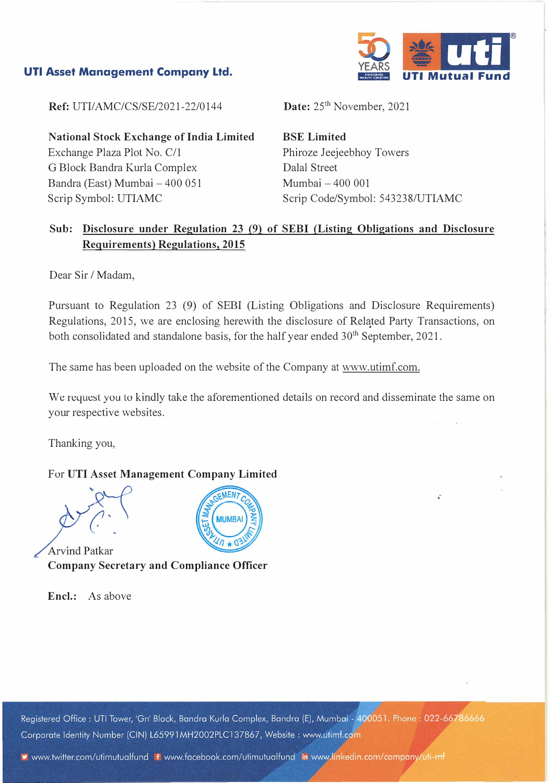## **UTI Asset Management Company Ltd.**



**Ref: UTI/AMC/CS/SE/2021-22/0144** 

**National Stock Exchange of India Limited**  Exchange Plaza Plot No. C/1 G Block Bandra Kurla Complex Bandra (East) Mumbai - 400 051 Scrip Symbol: UTIAMC

Date: 25<sup>th</sup> November, 2021

**BSE Limited**  Phiroze Jeejeebhoy Towers Dalal Street Mumbai - 400 001 Scrip Code/Symbol: 543238/UTIAMC

# **Sub: Disclosure under Regulation 23 (9) of SEBI (Listing Obligations and Disclosure Requirements) Regulations, 2015**

Dear Sir / Madam,

Pursuant to Regulation 23 (9) of SEBI (Listing Obligations and Disclosure Requirements) Regulations, 2015, we are enclosing herewith the disclosure of Related Party Transactions, on both consolidated and standalone basis, for the half year ended 30<sup>th</sup> September, 2021.

The same has been uploaded on the website of the Company at www.utimf.com.

We request you to kindly take the aforementioned details on record and disseminate the same on your respective websites.

Thanking you,

### For UTI Asset Management Company Limited

**Arvind Patkar Company Secretary and Compliance Officer** 

**Encl.:** As above

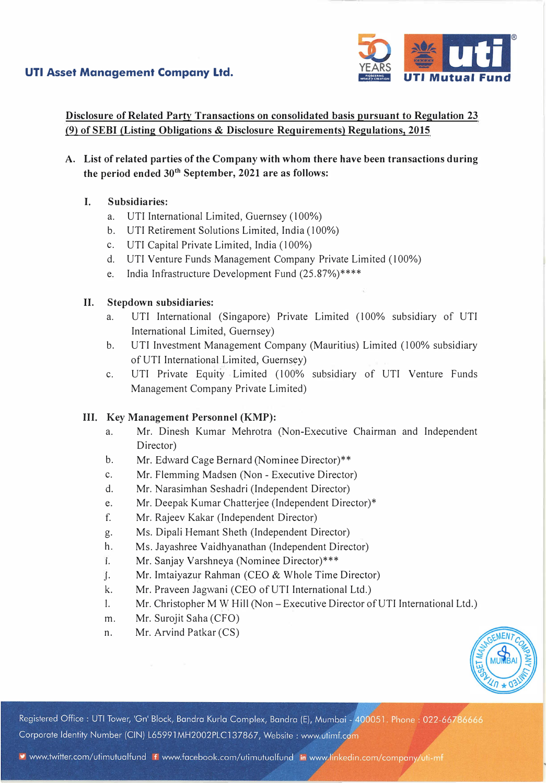

**Disclosure of Related Party Transactions on consolidated basis pursuant to Regulation 23 (9) of SEBI (Listing Obligations & Disclosure Requirements) Regulations, 2015**

**A. List of related parties of the Company with whom there have been transactions during the period ended 30th September, 2021 are as follows:**

### **I. Subsidiaries:**

- a. UTI International Limited, Guernsey (100%)
- b. UTI Retirement Solutions Limited, India (100%)
- c. UTI Capital Private Limited, India (100%)
- d. UTI Venture Funds Management Company Private Limited (100%)
- e. India Infrastructure Development Fund (25.87%)\*\*\*\*

### **II. Stepdown subsidiaries:**

- a. UTI International (Singapore) Private Limited (100% subsidiary of UTI International Limited, Guernsey)
- b. UTI Investment Management Company (Mauritius) Limited (100% subsidiary of UTI International Limited, Guernsey)
- c. UTI Private Equity Limited (100% subsidiary of UTI Venture Funds Management Company Private Limited)

### **III. Key Management Personnel (KMP):**

- a. Mr. Dinesh Kumar Mehrotra (Non-Executive Chairman and Independent Director)
- b. Mr. Edward Cage Bernard (Nominee Director)\*\*
- c. Mr. Flemming Madsen (Non Executive Director)
- d. Mr. Narasimhan Seshadri (Independent Director)
- e. Mr. Deepak Kumar Chatterjee (Independent Director)\*
- f. Mr. Rajeev Kakar (Independent Director)
- g. Ms. Dipali Hemant Sheth (Independent Director)
- h. Ms. Jayashree Vaidhyanathan (Independent Director)
- 1. Mr. Sanjay Varshneya (Nominee Director)\*\*\*
- j. Mr. Imtaiyazur Rahman (CEO & Whole Time Director)
- k. Mr. Praveen Jagwani (CEO of UTI International Ltd.)
- 1. Mr. Christopher M W Hill (Non Executive Director of UTI International Ltd.)
- m. Mr. Surojit Saha (CFO)
- n. Mr. Arvind Patkar (CS)



Registered Office : UTI Tower, 'Gn' Block, Bandra Kurla Complex, Bandra (E), Mumbai - 400051. Phone : 022-66786666 Corporate Identity Number (CIN) L65991MH2002PLC137867, Website: www.utimf.com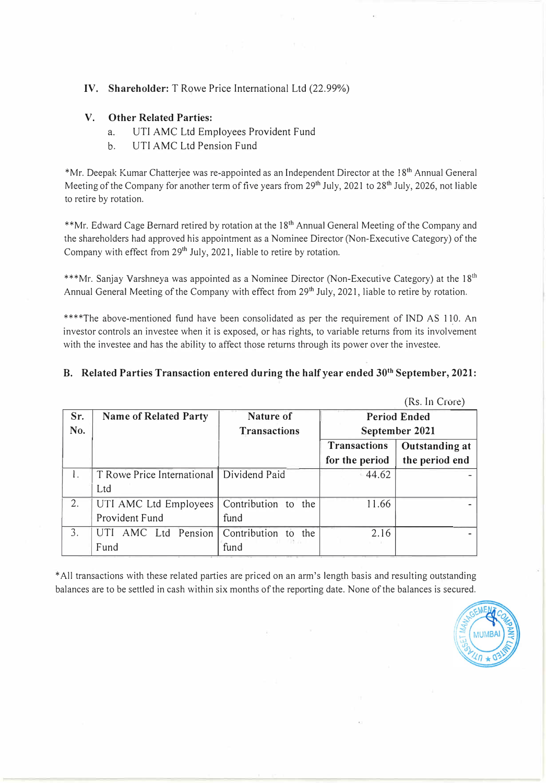### **IV. Shareholder:** T Rowe Price International Ltd (22.99%)

#### **V. Other Related Parties:**

- a. UTI AMC Ltd Employees Provident Fund
- b. UTI AMC Ltd Pension Fund

\*Mr. Deepak Kumar Chatterjee was re-appointed as an Independent Director at the 18th Annual General Meeting of the Company for another term of five years from 29<sup>th</sup> July, 2021 to 28<sup>th</sup> July, 2026, not liable to retire by rotation.

\*\*Mr. Edward Cage Bernard retired by rotation at the 18<sup>th</sup> Annual General Meeting of the Company and the shareholders had approved his appointment as a Nominee Director (Non-Executive Category) of the Company with effect from 29<sup>th</sup> July, 2021, liable to retire by rotation.

\*\*\*Mr. Sanjay Varshneya was appointed as a Nominee Director (Non-Executive Category) at the  $18<sup>th</sup>$ Annual General Meeting of the Company with effect from 29<sup>th</sup> July, 2021, liable to retire by rotation.

\*\*\*\*The above-mentioned fund have been consolidated as per the requirement of IND AS 110. An investor controls an investee when it is exposed, or h as rights, to variable returns from its involvement , with the investee and has the ability to affect those returns through its power over the investee.

### **B. Related Parties Transaction entered during the half year ended 30th September, 2021:**

|     |                                            |                          |                | $($ INS. III UIUIT $)$ |
|-----|--------------------------------------------|--------------------------|----------------|------------------------|
| Sr. | <b>Name of Related Party</b>               | Nature of                |                | <b>Period Ended</b>    |
| No. |                                            | <b>Transactions</b>      | September 2021 |                        |
|     |                                            |                          | Transactions   | <b>Outstanding at</b>  |
|     |                                            |                          | for the period | the period end         |
| 1.  | T Rowe Price International   Dividend Paid |                          | 44.62          |                        |
|     | Ltd                                        |                          |                |                        |
| 2.  | UTI AMC Ltd Employees                      | Contribution to the      | 11.66          |                        |
|     | Provident Fund                             | fund                     |                |                        |
| 3.  | UTI AMC Ltd Pension                        | Contribution to the      | 2.16           |                        |
|     | Fund                                       | <b>TRANSPORT</b><br>fund |                |                        |

\*All transactions with these related parties are priced on an arm's length basis and resulting outstanding balances are to be settled in cash within six months of the reporting date. None of the balances is secured.



 $(D_{\alpha}, L_{\alpha}, C_{\alpha+\alpha})$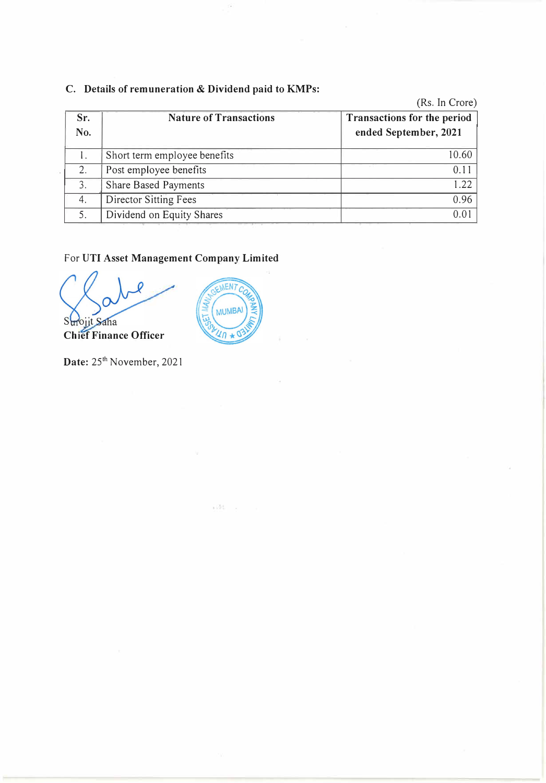# **C. Details of remuneration & Dividend paid to KMPs:**

|            |                               | (Rs. In Crore)                                              |
|------------|-------------------------------|-------------------------------------------------------------|
| Sr.<br>No. | <b>Nature of Transactions</b> | <b>Transactions for the period</b><br>ended September, 2021 |
|            | Short term employee benefits  | 10.60                                                       |
| 2.         | Post employee benefits        | 0.1 <sup>1</sup>                                            |
| 3.         | <b>Share Based Payments</b>   | 1.22                                                        |
| 4.         | Director Sitting Fees         | 0.96                                                        |
| 5.         | Dividend on Equity Shares     | 0.0                                                         |

# For **UTI Asset Management Company Limited**

 $S$ <sub>ojit</sub> **Chief Finance Officer** 



 $\pm 10\%$ 

**Date:** 25**th** November, 2021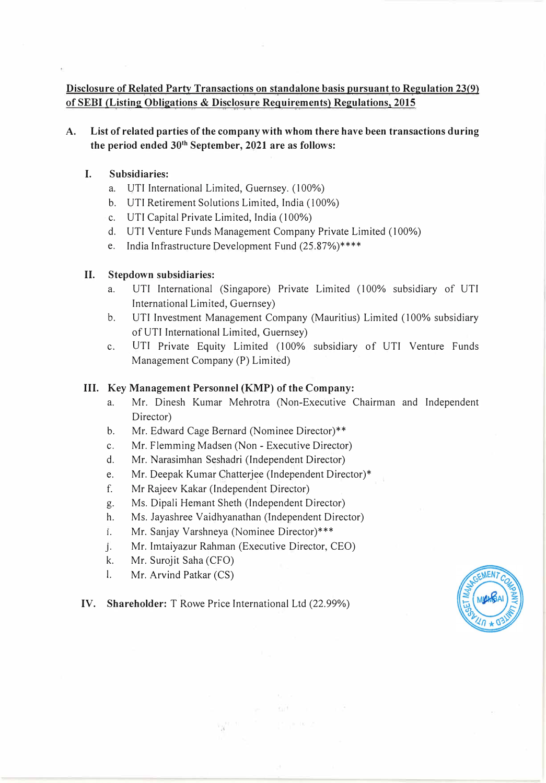## **Disclosure of Related Party Transactions on standalone basis pursuant to Regulation 23(9) of SEBI (Listing Obligations & Disclosure Requirements) Regulations, 2015**

## **A. List of related parties of the company with whom there have been transactions during the period ended 30th September, 2021 are as follows:**

### **I. Subsidiaries:**

- a. UTI International Limited, Guernsey. ( 100%)
- b. UTI Retirement Solutions Limited, India (100%)
- c. UTI Capital Private Limited, India (100%)
- d. UTI Venture Funds Management Company Private Limited (100%)
- e. India Infrastructure Development Fund (25.87%)\*\*\*\*

### **II. Stepdown subsidiaries:**

- a. UTI International (Singapore) Private Limited (100% subsidiary of UTI International Limited, Guernsey)
- b. UTI Investment Management Company (Mauritius) Limited (100% subsidiary of UTI International Limited, Guernsey)
- c. UTI Private Equity Limited (100% subsidiary of UTI Venture Funds Management Company (P) Limited)

### **III. Key Management Personnel (KMP) of the Company:**

- a. Mr. Dinesh Kumar Mehrotra (Non-Executive Chairman and Independent Director)
- b. Mr. Edward Cage Bernard (Nominee Director)\*\*
- c. Mr. Flemming Madsen (Non Executive Director)
- d. Mr. Narasimhan Seshadri (Independent Director)
- e. Mr. Deepak Kumar Chatterjee (Independent Director)\*
- **f.** Mr Rajeev Kakar (Independent Director)
- g. Ms. Dipali Hemant Sheth (Independent Director)
- h. Ms. Jayashree Vaidhyanathan (Independent Director)
- 1. Mr. Sanjay Varshneya (Nominee Director)\*\*\*
- j. . Mr. Imtaiyazur Rahman (Executive Director, CEO)
- k. Mr. Surojit Saha (CFO)
- I. Mr. Arvind Patkar (CS)

**IV. Shareholder:** T Rowe Price International Ltd (22.99%)

 $\mathbf{r}_{\mathbf{g}}^{(i)}$  .

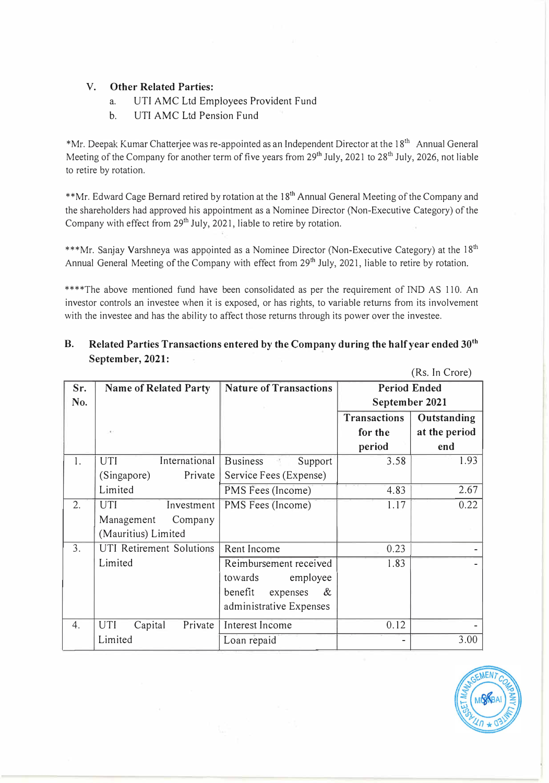### **V. Other Related Parties:**

- a. UTI AMC Ltd Employees Provident Fund
- b. UTI AMC Ltd Pension Fund

\*Mr. Deepak Kumar Chatterjee was re-appointed as an Independent Director at the 18<sup>th</sup> Annual General Meeting of the Company for another term of five years from 29<sup>th</sup> July, 2021 to 28<sup>th</sup> July, 2026, not liable to retire by rotation.

\*\*Mr. Edward Cage Bernard retired by rotation at the 18<sup>th</sup> Annual General Meeting of the Company and the shareholders had approved his appointment as a Nominee Director (Non-Executive Category) of the Company with effect from  $29<sup>th</sup>$  July, 2021, liable to retire by rotation.

\*\*\*Mr. Sanjay Varshneya was appointed as a Nominee Director (Non-Executive Category) at the 18<sup>th</sup> Annual General Meeting of the Company with effect from 29<sup>th</sup> July, 2021, liable to retire by rotation.

\*\*\*\*The above mentioned fund have been consolidated as per the requirement of IND AS 110. An investor controls an investee when it is exposed, or has rights, to variable returns from its involvement with the investee and has the ability to affect those returns through its power over the investee.

**B. Related Parties Transactions entered by the Company during the half year ended 30 th September, 2021:**

|     |                                  |                               | (100, 11101010)                    |  |
|-----|----------------------------------|-------------------------------|------------------------------------|--|
| Sr. | <b>Name of Related Party</b>     | <b>Nature of Transactions</b> | <b>Period Ended</b>                |  |
| No. |                                  |                               | September 2021                     |  |
|     |                                  |                               | <b>Transactions</b><br>Outstanding |  |
|     | $\mathcal{A}(\cdot)$             |                               | at the period<br>for the           |  |
|     |                                  |                               | end<br>period                      |  |
| 1.  | International<br>UTI             | <b>Business</b><br>Support    | 3.58<br>1.93                       |  |
|     | Private<br>(Singapore)           | Service Fees (Expense)        |                                    |  |
|     | Limited                          | PMS Fees (Income)             | 4.83<br>2.67                       |  |
| 2.  | Investment<br>UTI                | PMS Fees (Income)             | 0.22<br>1.17                       |  |
|     | Company<br>Management            |                               |                                    |  |
|     | (Mauritius) Limited              |                               |                                    |  |
| 3.  | UTI Retirement Solutions         | Rent Income                   | 0.23                               |  |
|     | Limited                          | Reimbursement received        | 1.83                               |  |
|     |                                  | towards<br>employee           |                                    |  |
|     |                                  | benefit<br>expenses<br>&      |                                    |  |
|     |                                  | administrative Expenses       |                                    |  |
| 4.  | Private<br><b>UTI</b><br>Capital | Interest Income               | 0.12                               |  |
|     | Limited                          | Loan repaid                   | 3.00                               |  |



(Rs. In Crore)